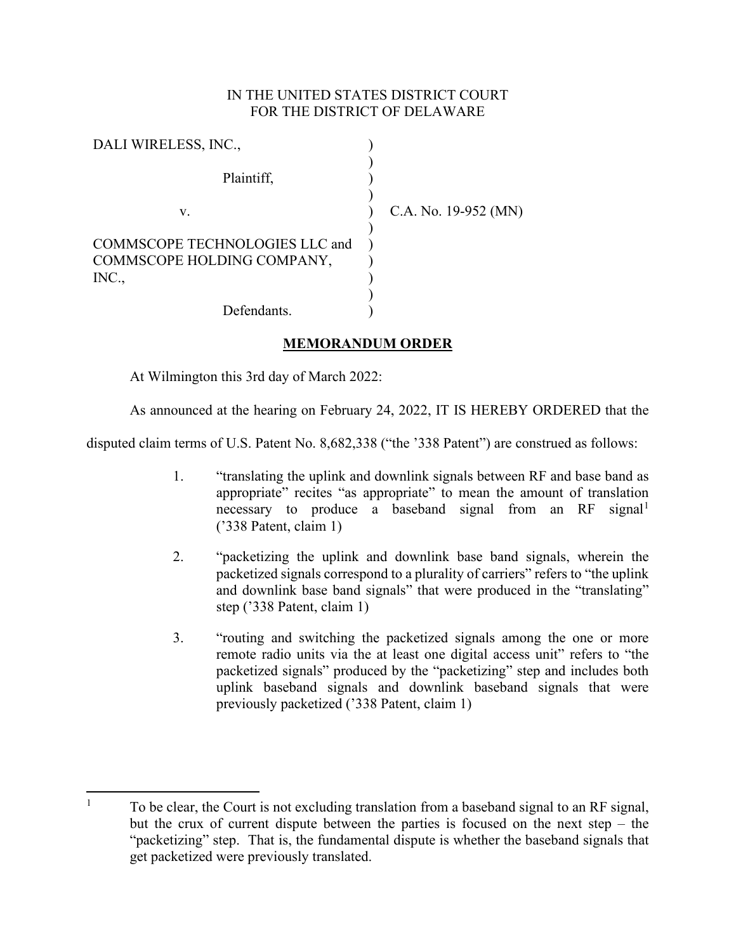## IN THE UNITED STATES DISTRICT COURT FOR THE DISTRICT OF DELAWARE

| DALI WIRELESS, INC.,                                                  |                      |
|-----------------------------------------------------------------------|----------------------|
| Plaintiff,                                                            |                      |
| v.                                                                    | C.A. No. 19-952 (MN) |
| COMMSCOPE TECHNOLOGIES LLC and<br>COMMSCOPE HOLDING COMPANY,<br>INC., |                      |
| Defendants.                                                           |                      |

## **MEMORANDUM ORDER**

At Wilmington this 3rd day of March 2022:

As announced at the hearing on February 24, 2022, IT IS HEREBY ORDERED that the

disputed claim terms of U.S. Patent No. 8,682,338 ("the '338 Patent") are construed as follows:

- 1. "translating the uplink and downlink signals between RF and base band as appropriate" recites "as appropriate" to mean the amount of translation necessary to produce a baseband signal from an RF signal<sup>[1](#page-0-0)</sup> ('338 Patent, claim 1)
- 2. "packetizing the uplink and downlink base band signals, wherein the packetized signals correspond to a plurality of carriers" refers to "the uplink and downlink base band signals" that were produced in the "translating" step ('338 Patent, claim 1)
- 3. "routing and switching the packetized signals among the one or more remote radio units via the at least one digital access unit" refers to "the packetized signals" produced by the "packetizing" step and includes both uplink baseband signals and downlink baseband signals that were previously packetized ('338 Patent, claim 1)

<span id="page-0-0"></span> $1 -$ To be clear, the Court is not excluding translation from a baseband signal to an RF signal, but the crux of current dispute between the parties is focused on the next step – the "packetizing" step. That is, the fundamental dispute is whether the baseband signals that get packetized were previously translated.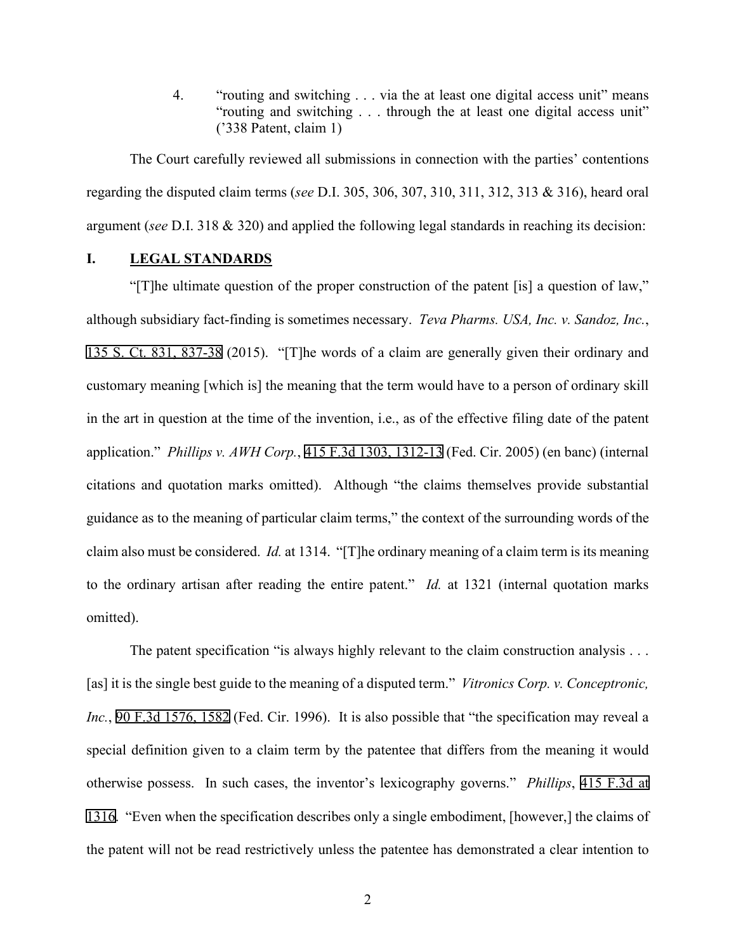4. "routing and switching . . . via the at least one digital access unit" means "routing and switching . . . through the at least one digital access unit" ('338 Patent, claim 1)

The Court carefully reviewed all submissions in connection with the parties' contentions regarding the disputed claim terms (*see* D.I. 305, 306, 307, 310, 311, 312, 313 & 316), heard oral argument (*see* D.I. 318 & 320) and applied the following legal standards in reaching its decision:

## **I. LEGAL STANDARDS**

"[T]he ultimate question of the proper construction of the patent [is] a question of law," although subsidiary fact-finding is sometimes necessary. *Teva Pharms. USA, Inc. v. Sandoz, Inc.*, [135 S. Ct. 831, 837-38](http://scholar.google.com/scholar?q=135+s.+ct.+831&btnG=&hl=en&as_sdt=6) (2015). "[T]he words of a claim are generally given their ordinary and customary meaning [which is] the meaning that the term would have to a person of ordinary skill in the art in question at the time of the invention, i.e., as of the effective filing date of the patent application." *Phillips v. AWH Corp.*, [415 F.3d 1303, 1312-13](http://scholar.google.com/scholar?q=415+f.3d+1303&btnG=&hl=en&as_sdt=6) (Fed. Cir. 2005) (en banc) (internal citations and quotation marks omitted). Although "the claims themselves provide substantial guidance as to the meaning of particular claim terms," the context of the surrounding words of the claim also must be considered. *Id.* at 1314. "[T]he ordinary meaning of a claim term is its meaning to the ordinary artisan after reading the entire patent." *Id.* at 1321 (internal quotation marks omitted).

The patent specification "is always highly relevant to the claim construction analysis . . . [as] it is the single best guide to the meaning of a disputed term." *Vitronics Corp. v. Conceptronic, Inc.*, [90 F.3d 1576, 1582](http://scholar.google.com/scholar?q=90+f.3d+1576&btnG=&hl=en&as_sdt=6) (Fed. Cir. 1996). It is also possible that "the specification may reveal a special definition given to a claim term by the patentee that differs from the meaning it would otherwise possess. In such cases, the inventor's lexicography governs." *Phillips*, [415 F.3d at](http://scholar.google.com/scholar?q=415+f.3d+1303&btnG=&hl=en&as_sdt=6) [1316](http://scholar.google.com/scholar?q=415+f.3d+1303&btnG=&hl=en&as_sdt=6). "Even when the specification describes only a single embodiment, [however,] the claims of the patent will not be read restrictively unless the patentee has demonstrated a clear intention to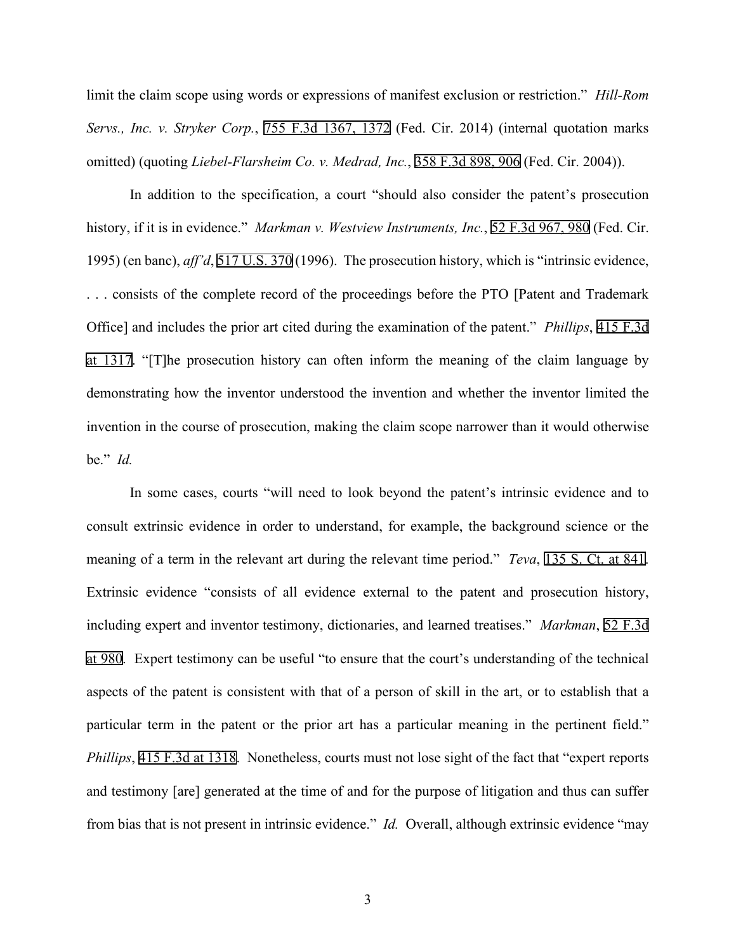limit the claim scope using words or expressions of manifest exclusion or restriction." *Hill-Rom Servs., Inc. v. Stryker Corp.*, [755 F.3d 1367, 1372](http://scholar.google.com/scholar?q=755+f.3d+1367&btnG=&hl=en&as_sdt=6) (Fed. Cir. 2014) (internal quotation marks omitted) (quoting *Liebel-Flarsheim Co. v. Medrad, Inc.*, [358 F.3d 898, 906](http://scholar.google.com/scholar?q=358+f.3d+898&btnG=&hl=en&as_sdt=6) (Fed. Cir. 2004)).

In addition to the specification, a court "should also consider the patent's prosecution history, if it is in evidence." *Markman v. Westview Instruments, Inc.*, [52 F.3d 967, 980](http://scholar.google.com/scholar?q=52+f.3d+967&btnG=&hl=en&as_sdt=6) (Fed. Cir. 1995) (en banc), *aff'd*, [517 U.S. 370](http://www.google.com/search?q=517+u.s.+370) (1996). The prosecution history, which is "intrinsic evidence, . . . consists of the complete record of the proceedings before the PTO [Patent and Trademark Office] and includes the prior art cited during the examination of the patent." *Phillips*, [415 F.3d](http://scholar.google.com/scholar?q=415+f.3d+1303&btnG=&hl=en&as_sdt=6) [at 1317.](http://scholar.google.com/scholar?q=415+f.3d+1303&btnG=&hl=en&as_sdt=6) "[T]he prosecution history can often inform the meaning of the claim language by demonstrating how the inventor understood the invention and whether the inventor limited the invention in the course of prosecution, making the claim scope narrower than it would otherwise be." *Id.*

In some cases, courts "will need to look beyond the patent's intrinsic evidence and to consult extrinsic evidence in order to understand, for example, the background science or the meaning of a term in the relevant art during the relevant time period." *Teva*, [135 S. Ct. at 841.](http://scholar.google.com/scholar?q=135+s.+ct.+831&btnG=&hl=en&as_sdt=6) Extrinsic evidence "consists of all evidence external to the patent and prosecution history, including expert and inventor testimony, dictionaries, and learned treatises." *Markman*, [52 F.3d](http://scholar.google.com/scholar?q=52+f.3d+967&btnG=&hl=en&as_sdt=6) [at 980](http://scholar.google.com/scholar?q=52+f.3d+967&btnG=&hl=en&as_sdt=6). Expert testimony can be useful "to ensure that the court's understanding of the technical aspects of the patent is consistent with that of a person of skill in the art, or to establish that a particular term in the patent or the prior art has a particular meaning in the pertinent field." *Phillips*, [415 F.3d at 1318.](http://scholar.google.com/scholar?q=415+f.3d+1303&btnG=&hl=en&as_sdt=6) Nonetheless, courts must not lose sight of the fact that "expert reports" and testimony [are] generated at the time of and for the purpose of litigation and thus can suffer from bias that is not present in intrinsic evidence." *Id.* Overall, although extrinsic evidence "may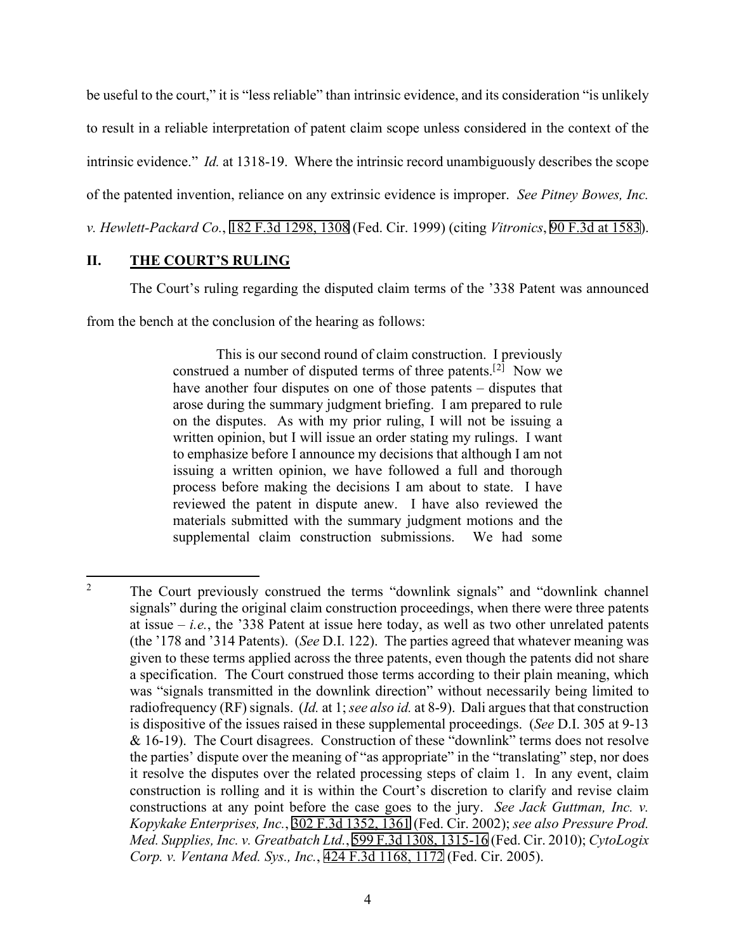be useful to the court," it is "less reliable" than intrinsic evidence, and its consideration "is unlikely to result in a reliable interpretation of patent claim scope unless considered in the context of the intrinsic evidence." *Id.* at 1318-19. Where the intrinsic record unambiguously describes the scope of the patented invention, reliance on any extrinsic evidence is improper. *See Pitney Bowes, Inc. v. Hewlett-Packard Co.*, [182 F.3d 1298, 1308](http://scholar.google.com/scholar?q=182+f.3d+1298&btnG=&hl=en&as_sdt=6) (Fed. Cir. 1999) (citing *Vitronics*, [90 F.3d at 1583](http://scholar.google.com/scholar?q=90+f.3d+1576&btnG=&hl=en&as_sdt=6)).

## **II. THE COURT'S RULING**

The Court's ruling regarding the disputed claim terms of the '338 Patent was announced

from the bench at the conclusion of the hearing as follows:

This is our second round of claim construction. I previously construed a number of disputed terms of three patents.<sup>[[2](#page-3-0)]</sup> Now we have another four disputes on one of those patents – disputes that arose during the summary judgment briefing. I am prepared to rule on the disputes. As with my prior ruling, I will not be issuing a written opinion, but I will issue an order stating my rulings. I want to emphasize before I announce my decisions that although I am not issuing a written opinion, we have followed a full and thorough process before making the decisions I am about to state. I have reviewed the patent in dispute anew. I have also reviewed the materials submitted with the summary judgment motions and the supplemental claim construction submissions. We had some

<span id="page-3-0"></span><sup>&</sup>lt;sup>2</sup> The Court previously construed the terms "downlink signals" and "downlink channel" signals" during the original claim construction proceedings, when there were three patents at issue  $-i.e.,$  the '338 Patent at issue here today, as well as two other unrelated patents (the '178 and '314 Patents). (*See* D.I. 122). The parties agreed that whatever meaning was given to these terms applied across the three patents, even though the patents did not share a specification. The Court construed those terms according to their plain meaning, which was "signals transmitted in the downlink direction" without necessarily being limited to radiofrequency (RF) signals. (*Id.* at 1; *see also id.* at 8-9). Dali argues that that construction is dispositive of the issues raised in these supplemental proceedings. (*See* D.I. 305 at 9-13 & 16-19). The Court disagrees. Construction of these "downlink" terms does not resolve the parties' dispute over the meaning of "as appropriate" in the "translating" step, nor does it resolve the disputes over the related processing steps of claim 1. In any event, claim construction is rolling and it is within the Court's discretion to clarify and revise claim constructions at any point before the case goes to the jury. *See Jack Guttman, Inc. v. Kopykake Enterprises, Inc.*, [302 F.3d 1352, 1361](http://scholar.google.com/scholar?q=302++f.3d++1352&btnG=&hl=en&as_sdt=6) (Fed. Cir. 2002); *see also Pressure Prod. Med. Supplies, Inc. v. Greatbatch Ltd.*, [599 F.3d 1308, 1315-16](http://scholar.google.com/scholar?q=599++f.3d++1308&btnG=&hl=en&as_sdt=6) (Fed. Cir. 2010); *CytoLogix Corp. v. Ventana Med. Sys., Inc.*, [424 F.3d 1168, 1172](http://scholar.google.com/scholar?q=424++f.3d++1168&btnG=&hl=en&as_sdt=6) (Fed. Cir. 2005).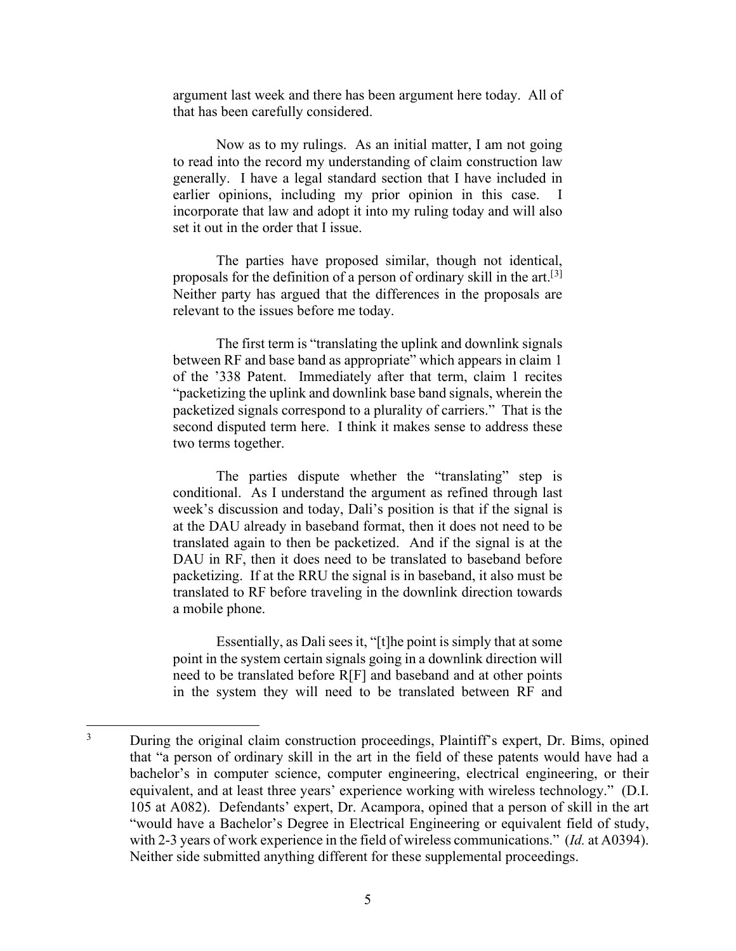argument last week and there has been argument here today. All of that has been carefully considered.

Now as to my rulings. As an initial matter, I am not going to read into the record my understanding of claim construction law generally. I have a legal standard section that I have included in earlier opinions, including my prior opinion in this case. I incorporate that law and adopt it into my ruling today and will also set it out in the order that I issue.

The parties have proposed similar, though not identical, proposals for the definition of a person of ordinary skill in the art.<sup>[[3](#page-4-0)]</sup> Neither party has argued that the differences in the proposals are relevant to the issues before me today.

The first term is "translating the uplink and downlink signals between RF and base band as appropriate" which appears in claim 1 of the '338 Patent. Immediately after that term, claim 1 recites "packetizing the uplink and downlink base band signals, wherein the packetized signals correspond to a plurality of carriers." That is the second disputed term here. I think it makes sense to address these two terms together.

The parties dispute whether the "translating" step is conditional. As I understand the argument as refined through last week's discussion and today, Dali's position is that if the signal is at the DAU already in baseband format, then it does not need to be translated again to then be packetized. And if the signal is at the DAU in RF, then it does need to be translated to baseband before packetizing. If at the RRU the signal is in baseband, it also must be translated to RF before traveling in the downlink direction towards a mobile phone.

Essentially, as Dali sees it, "[t]he point is simply that at some point in the system certain signals going in a downlink direction will need to be translated before R[F] and baseband and at other points in the system they will need to be translated between RF and

<span id="page-4-0"></span><sup>&</sup>lt;sup>3</sup> During the original claim construction proceedings, Plaintiff's expert, Dr. Bims, opined that "a person of ordinary skill in the art in the field of these patents would have had a bachelor's in computer science, computer engineering, electrical engineering, or their equivalent, and at least three years' experience working with wireless technology." (D.I. 105 at A082). Defendants' expert, Dr. Acampora, opined that a person of skill in the art "would have a Bachelor's Degree in Electrical Engineering or equivalent field of study, with 2-3 years of work experience in the field of wireless communications." (*Id.* at A0394). Neither side submitted anything different for these supplemental proceedings.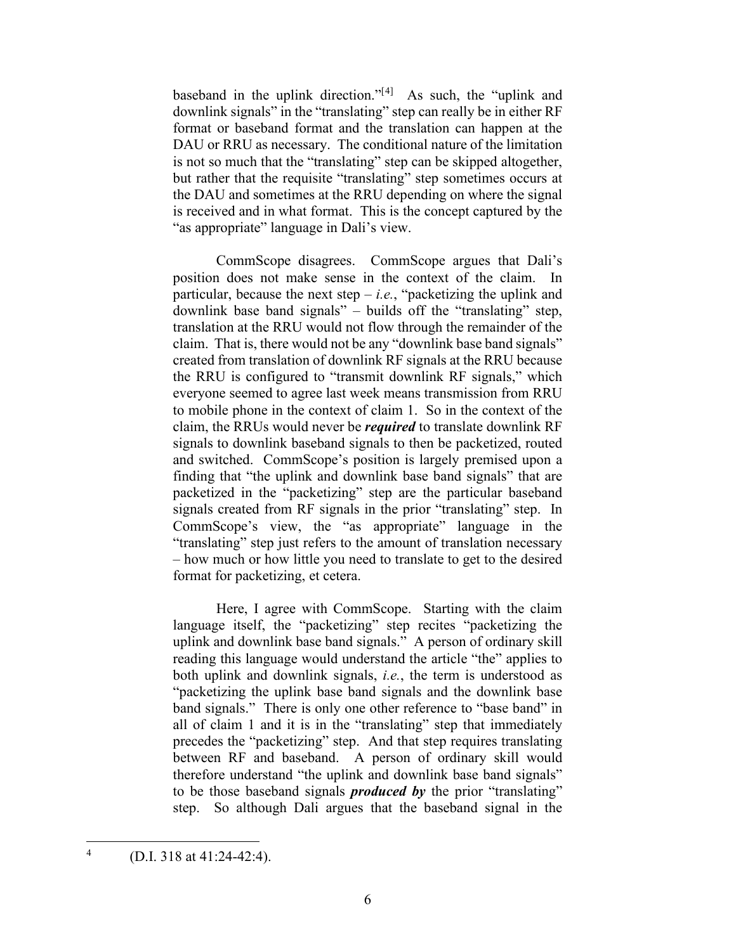baseband in the uplink direction."[[4\]](#page-5-0) As such, the "uplink and downlink signals" in the "translating" step can really be in either RF format or baseband format and the translation can happen at the DAU or RRU as necessary. The conditional nature of the limitation is not so much that the "translating" step can be skipped altogether, but rather that the requisite "translating" step sometimes occurs at the DAU and sometimes at the RRU depending on where the signal is received and in what format. This is the concept captured by the "as appropriate" language in Dali's view.

CommScope disagrees. CommScope argues that Dali's position does not make sense in the context of the claim. In particular, because the next step  $-i.e.,$  "packetizing the uplink and downlink base band signals" – builds off the "translating" step, translation at the RRU would not flow through the remainder of the claim. That is, there would not be any "downlink base band signals" created from translation of downlink RF signals at the RRU because the RRU is configured to "transmit downlink RF signals," which everyone seemed to agree last week means transmission from RRU to mobile phone in the context of claim 1. So in the context of the claim, the RRUs would never be *required* to translate downlink RF signals to downlink baseband signals to then be packetized, routed and switched. CommScope's position is largely premised upon a finding that "the uplink and downlink base band signals" that are packetized in the "packetizing" step are the particular baseband signals created from RF signals in the prior "translating" step. In CommScope's view, the "as appropriate" language in the "translating" step just refers to the amount of translation necessary – how much or how little you need to translate to get to the desired format for packetizing, et cetera.

Here, I agree with CommScope. Starting with the claim language itself, the "packetizing" step recites "packetizing the uplink and downlink base band signals." A person of ordinary skill reading this language would understand the article "the" applies to both uplink and downlink signals, *i.e.*, the term is understood as "packetizing the uplink base band signals and the downlink base band signals." There is only one other reference to "base band" in all of claim 1 and it is in the "translating" step that immediately precedes the "packetizing" step. And that step requires translating between RF and baseband. A person of ordinary skill would therefore understand "the uplink and downlink base band signals" to be those baseband signals *produced by* the prior "translating" step. So although Dali argues that the baseband signal in the

<span id="page-5-0"></span> $4$  (D.I. 318 at 41:24-42:4).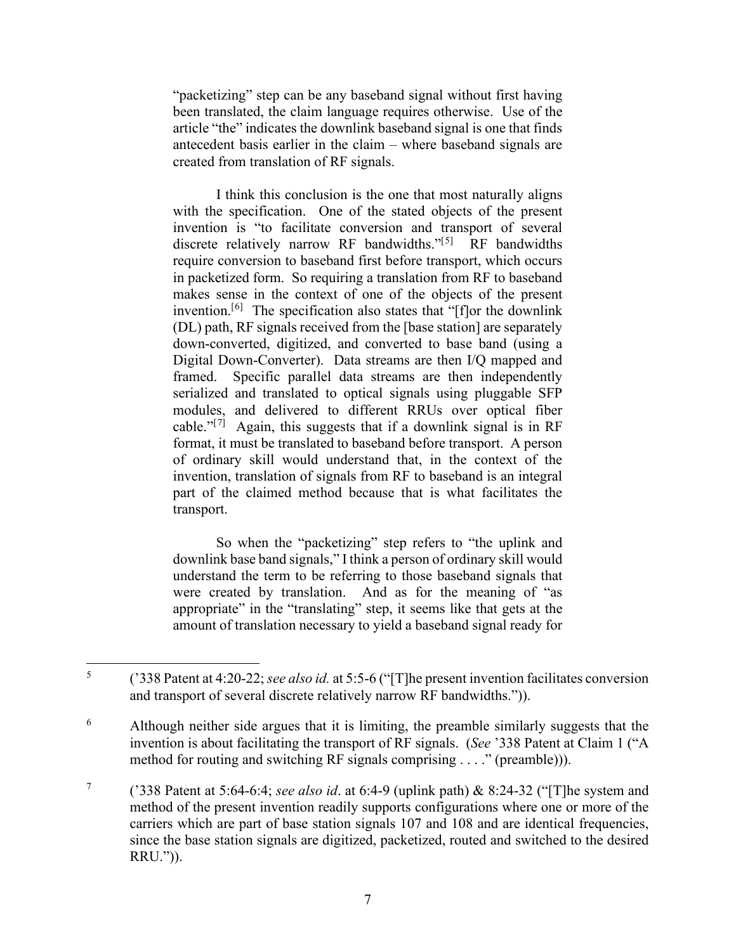"packetizing" step can be any baseband signal without first having been translated, the claim language requires otherwise. Use of the article "the" indicates the downlink baseband signal is one that finds antecedent basis earlier in the claim – where baseband signals are created from translation of RF signals.

I think this conclusion is the one that most naturally aligns with the specification. One of the stated objects of the present invention is "to facilitate conversion and transport of several discrete relatively narrow RF bandwidths."<sup>[[5](#page-6-0)]</sup> RF bandwidths require conversion to baseband first before transport, which occurs in packetized form. So requiring a translation from RF to baseband makes sense in the context of one of the objects of the present invention.[\[6\]](#page-6-1) The specification also states that "[f]or the downlink (DL) path, RF signals received from the [base station] are separately down-converted, digitized, and converted to base band (using a Digital Down-Converter). Data streams are then I/Q mapped and framed. Specific parallel data streams are then independently serialized and translated to optical signals using pluggable SFP modules, and delivered to different RRUs over optical fiber cable." $[7]$  $[7]$  Again, this suggests that if a downlink signal is in RF format, it must be translated to baseband before transport. A person of ordinary skill would understand that, in the context of the invention, translation of signals from RF to baseband is an integral part of the claimed method because that is what facilitates the transport.

So when the "packetizing" step refers to "the uplink and downlink base band signals," I think a person of ordinary skill would understand the term to be referring to those baseband signals that were created by translation. And as for the meaning of "as appropriate" in the "translating" step, it seems like that gets at the amount of translation necessary to yield a baseband signal ready for

<span id="page-6-0"></span><sup>5</sup> ('338 Patent at 4:20-22; *see also id.* at 5:5-6 ("[T]he present invention facilitates conversion and transport of several discrete relatively narrow RF bandwidths.")).

<span id="page-6-1"></span><sup>&</sup>lt;sup>6</sup> Although neither side argues that it is limiting, the preamble similarly suggests that the invention is about facilitating the transport of RF signals. (*See* '338 Patent at Claim 1 ("A method for routing and switching RF signals comprising . . . ." (preamble))).

<span id="page-6-2"></span><sup>7</sup> ('338 Patent at 5:64-6:4; *see also id*. at 6:4-9 (uplink path) & 8:24-32 ("[T]he system and method of the present invention readily supports configurations where one or more of the carriers which are part of base station signals 107 and 108 and are identical frequencies, since the base station signals are digitized, packetized, routed and switched to the desired RRU.")).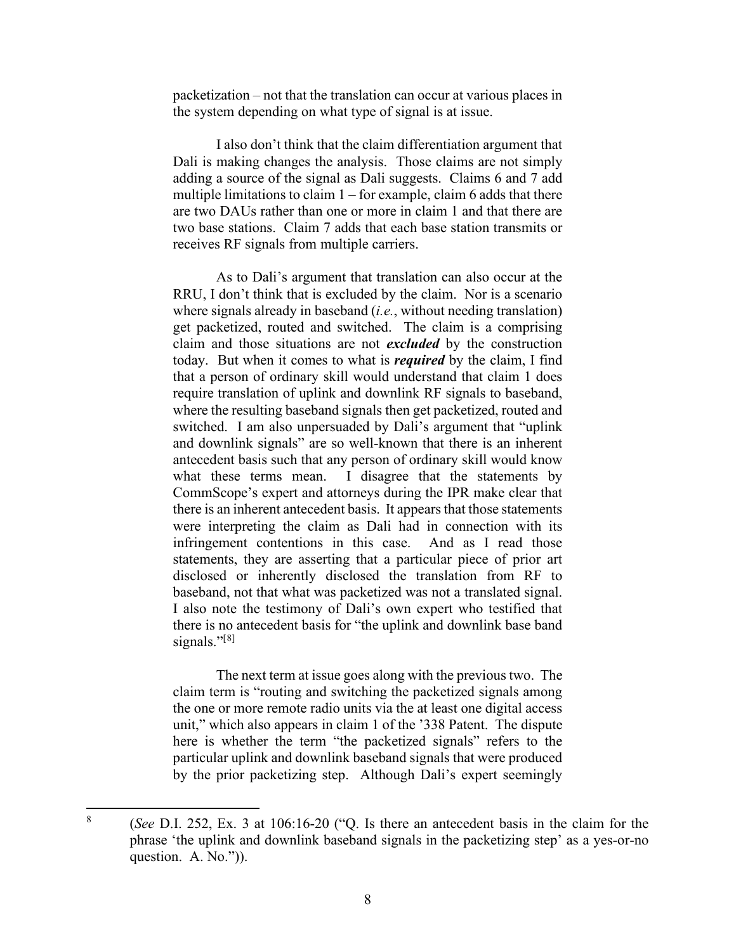packetization – not that the translation can occur at various places in the system depending on what type of signal is at issue.

I also don't think that the claim differentiation argument that Dali is making changes the analysis. Those claims are not simply adding a source of the signal as Dali suggests. Claims 6 and 7 add multiple limitations to claim  $1$  – for example, claim 6 adds that there are two DAUs rather than one or more in claim 1 and that there are two base stations. Claim 7 adds that each base station transmits or receives RF signals from multiple carriers.

As to Dali's argument that translation can also occur at the RRU, I don't think that is excluded by the claim. Nor is a scenario where signals already in baseband (*i.e.*, without needing translation) get packetized, routed and switched. The claim is a comprising claim and those situations are not *excluded* by the construction today. But when it comes to what is *required* by the claim, I find that a person of ordinary skill would understand that claim 1 does require translation of uplink and downlink RF signals to baseband, where the resulting baseband signals then get packetized, routed and switched. I am also unpersuaded by Dali's argument that "uplink and downlink signals" are so well-known that there is an inherent antecedent basis such that any person of ordinary skill would know what these terms mean. I disagree that the statements by CommScope's expert and attorneys during the IPR make clear that there is an inherent antecedent basis. It appears that those statements were interpreting the claim as Dali had in connection with its infringement contentions in this case. And as I read those statements, they are asserting that a particular piece of prior art disclosed or inherently disclosed the translation from RF to baseband, not that what was packetized was not a translated signal. I also note the testimony of Dali's own expert who testified that there is no antecedent basis for "the uplink and downlink base band signals." $[8]$  $[8]$ 

The next term at issue goes along with the previous two. The claim term is "routing and switching the packetized signals among the one or more remote radio units via the at least one digital access unit," which also appears in claim 1 of the '338 Patent. The dispute here is whether the term "the packetized signals" refers to the particular uplink and downlink baseband signals that were produced by the prior packetizing step. Although Dali's expert seemingly

<span id="page-7-0"></span><sup>8</sup> (*See* D.I. 252, Ex. 3 at 106:16-20 ("Q. Is there an antecedent basis in the claim for the phrase 'the uplink and downlink baseband signals in the packetizing step' as a yes-or-no question. A. No.")).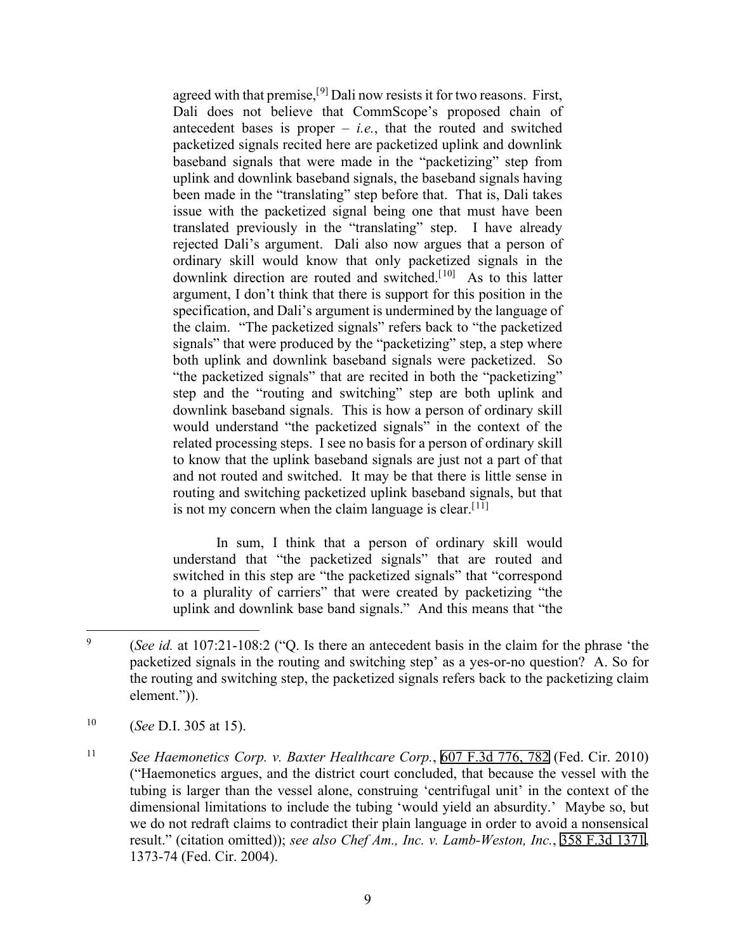agreed with that premise,  $[9]$  $[9]$  $[9]$  Dali now resists it for two reasons. First, Dali does not believe that CommScope's proposed chain of antecedent bases is proper  $-$  *i.e.*, that the routed and switched packetized signals recited here are packetized uplink and downlink baseband signals that were made in the "packetizing" step from uplink and downlink baseband signals, the baseband signals having been made in the "translating" step before that. That is, Dali takes issue with the packetized signal being one that must have been translated previously in the "translating" step. I have already rejected Dali's argument. Dali also now argues that a person of ordinary skill would know that only packetized signals in the downlink direction are routed and switched.<sup>[[10](#page-8-1)]</sup> As to this latter argument, I don't think that there is support for this position in the specification, and Dali's argument is undermined by the language of the claim. "The packetized signals" refers back to "the packetized signals" that were produced by the "packetizing" step, a step where both uplink and downlink baseband signals were packetized. So "the packetized signals" that are recited in both the "packetizing" step and the "routing and switching" step are both uplink and downlink baseband signals. This is how a person of ordinary skill would understand "the packetized signals" in the context of the related processing steps. I see no basis for a person of ordinary skill to know that the uplink baseband signals are just not a part of that and not routed and switched. It may be that there is little sense in routing and switching packetized uplink baseband signals, but that is not my concern when the claim language is clear.  $[11]$  $[11]$ 

In sum, I think that a person of ordinary skill would understand that "the packetized signals" that are routed and switched in this step are "the packetized signals" that "correspond to a plurality of carriers" that were created by packetizing "the uplink and downlink base band signals." And this means that "the

<span id="page-8-0"></span><sup>9</sup> (*See id.* at 107:21-108:2 ("Q. Is there an antecedent basis in the claim for the phrase 'the packetized signals in the routing and switching step' as a yes-or-no question? A. So for the routing and switching step, the packetized signals refers back to the packetizing claim element.")).

<span id="page-8-1"></span><sup>10</sup> (*See* D.I. 305 at 15).

<span id="page-8-2"></span><sup>11</sup> *See Haemonetics Corp. v. Baxter Healthcare Corp.*, [607 F.3d 776, 782](http://scholar.google.com/scholar?q=607++f.3d++776&btnG=&hl=en&as_sdt=6) (Fed. Cir. 2010) ("Haemonetics argues, and the district court concluded, that because the vessel with the tubing is larger than the vessel alone, construing 'centrifugal unit' in the context of the dimensional limitations to include the tubing 'would yield an absurdity.' Maybe so, but we do not redraft claims to contradict their plain language in order to avoid a nonsensical result." (citation omitted)); *see also Chef Am., Inc. v. Lamb-Weston, Inc.*, [358 F.3d 1371](http://scholar.google.com/scholar?q=358++f.3d++1371&btnG=&hl=en&as_sdt=6), 1373-74 (Fed. Cir. 2004).